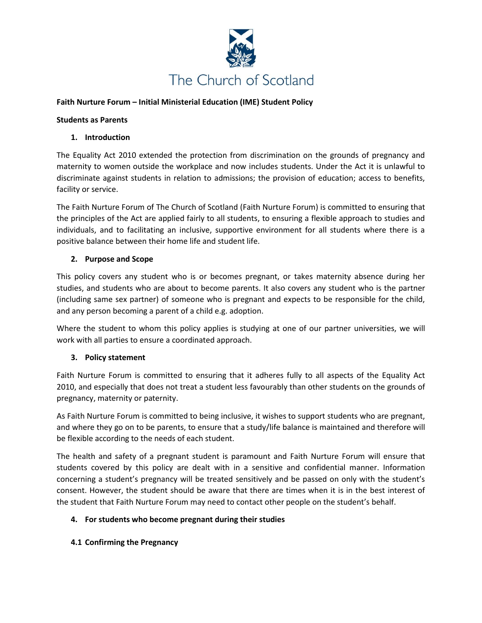

### **Faith Nurture Forum – Initial Ministerial Education (IME) Student Policy**

#### **Students as Parents**

### **1. Introduction**

The Equality Act 2010 extended the protection from discrimination on the grounds of pregnancy and maternity to women outside the workplace and now includes students. Under the Act it is unlawful to discriminate against students in relation to admissions; the provision of education; access to benefits, facility or service.

The Faith Nurture Forum of The Church of Scotland (Faith Nurture Forum) is committed to ensuring that the principles of the Act are applied fairly to all students, to ensuring a flexible approach to studies and individuals, and to facilitating an inclusive, supportive environment for all students where there is a positive balance between their home life and student life.

### **2. Purpose and Scope**

This policy covers any student who is or becomes pregnant, or takes maternity absence during her studies, and students who are about to become parents. It also covers any student who is the partner (including same sex partner) of someone who is pregnant and expects to be responsible for the child, and any person becoming a parent of a child e.g. adoption.

Where the student to whom this policy applies is studying at one of our partner universities, we will work with all parties to ensure a coordinated approach.

### **3. Policy statement**

Faith Nurture Forum is committed to ensuring that it adheres fully to all aspects of the Equality Act 2010, and especially that does not treat a student less favourably than other students on the grounds of pregnancy, maternity or paternity.

As Faith Nurture Forum is committed to being inclusive, it wishes to support students who are pregnant, and where they go on to be parents, to ensure that a study/life balance is maintained and therefore will be flexible according to the needs of each student.

The health and safety of a pregnant student is paramount and Faith Nurture Forum will ensure that students covered by this policy are dealt with in a sensitive and confidential manner. Information concerning a student's pregnancy will be treated sensitively and be passed on only with the student's consent. However, the student should be aware that there are times when it is in the best interest of the student that Faith Nurture Forum may need to contact other people on the student's behalf.

### **4. For students who become pregnant during their studies**

**4.1 Confirming the Pregnancy**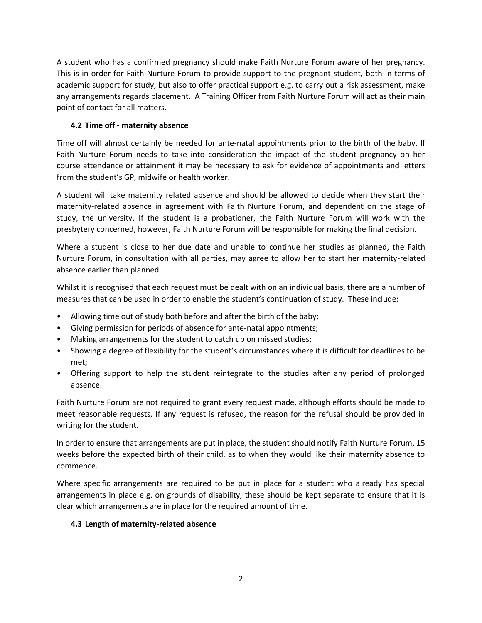A student who has a confirmed pregnancy should make Faith Nurture Forum aware of her pregnancy. This is in order for Faith Nurture Forum to provide support to the pregnant student, both in terms of academic support for study, but also to offer practical support e.g. to carry out a risk assessment, make any arrangements regards placement. A Training Officer from Faith Nurture Forum will act as their main point of contact for all matters.

## **4.2 Time off - maternity absence**

Time off will almost certainly be needed for ante-natal appointments prior to the birth of the baby. If Faith Nurture Forum needs to take into consideration the impact of the student pregnancy on her course attendance or attainment it may be necessary to ask for evidence of appointments and letters from the student's GP, midwife or health worker.

A student will take maternity related absence and should be allowed to decide when they start their maternity-related absence in agreement with Faith Nurture Forum, and dependent on the stage of study, the university. If the student is a probationer, the Faith Nurture Forum will work with the presbytery concerned, however, Faith Nurture Forum will be responsible for making the final decision.

Where a student is close to her due date and unable to continue her studies as planned, the Faith Nurture Forum, in consultation with all parties, may agree to allow her to start her maternity-related absence earlier than planned.

Whilst it is recognised that each request must be dealt with on an individual basis, there are a number of measures that can be used in order to enable the student's continuation of study. These include:

- Allowing time out of study both before and after the birth of the baby;
- Giving permission for periods of absence for ante-natal appointments;
- Making arrangements for the student to catch up on missed studies;
- Showing a degree of flexibility for the student's circumstances where it is difficult for deadlines to be met;
- Offering support to help the student reintegrate to the studies after any period of prolonged absence.

Faith Nurture Forum are not required to grant every request made, although efforts should be made to meet reasonable requests. If any request is refused, the reason for the refusal should be provided in writing for the student.

In order to ensure that arrangements are put in place, the student should notify Faith Nurture Forum, 15 weeks before the expected birth of their child, as to when they would like their maternity absence to commence.

Where specific arrangements are required to be put in place for a student who already has special arrangements in place e.g. on grounds of disability, these should be kept separate to ensure that it is clear which arrangements are in place for the required amount of time.

## **4.3 Length of maternity-related absence**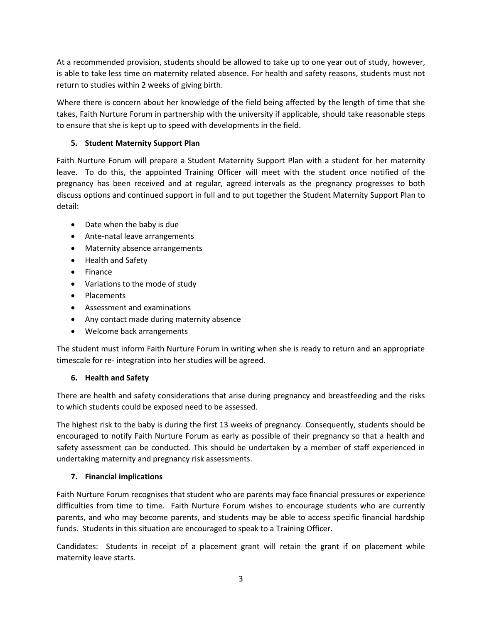At a recommended provision, students should be allowed to take up to one year out of study, however, is able to take less time on maternity related absence. For health and safety reasons, students must not return to studies within 2 weeks of giving birth.

Where there is concern about her knowledge of the field being affected by the length of time that she takes, Faith Nurture Forum in partnership with the university if applicable, should take reasonable steps to ensure that she is kept up to speed with developments in the field.

# **5. Student Maternity Support Plan**

Faith Nurture Forum will prepare a Student Maternity Support Plan with a student for her maternity leave. To do this, the appointed Training Officer will meet with the student once notified of the pregnancy has been received and at regular, agreed intervals as the pregnancy progresses to both discuss options and continued support in full and to put together the Student Maternity Support Plan to detail:

- Date when the baby is due
- Ante-natal leave arrangements
- Maternity absence arrangements
- Health and Safety
- Finance
- Variations to the mode of study
- Placements
- Assessment and examinations
- Any contact made during maternity absence
- Welcome back arrangements

The student must inform Faith Nurture Forum in writing when she is ready to return and an appropriate timescale for re- integration into her studies will be agreed.

## **6. Health and Safety**

There are health and safety considerations that arise during pregnancy and breastfeeding and the risks to which students could be exposed need to be assessed.

The highest risk to the baby is during the first 13 weeks of pregnancy. Consequently, students should be encouraged to notify Faith Nurture Forum as early as possible of their pregnancy so that a health and safety assessment can be conducted. This should be undertaken by a member of staff experienced in undertaking maternity and pregnancy risk assessments.

## **7. Financial implications**

Faith Nurture Forum recognises that student who are parents may face financial pressures or experience difficulties from time to time. Faith Nurture Forum wishes to encourage students who are currently parents, and who may become parents, and students may be able to access specific financial hardship funds. Students in this situation are encouraged to speak to a Training Officer.

Candidates: Students in receipt of a placement grant will retain the grant if on placement while maternity leave starts.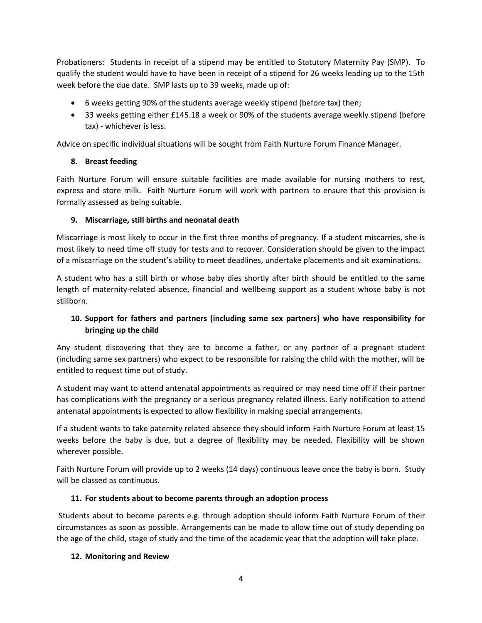Probationers: Students in receipt of a stipend may be entitled to Statutory Maternity Pay (SMP). To qualify the student would have to have been in receipt of a stipend for 26 weeks leading up to the 15th week before the due date. SMP lasts up to 39 weeks, made up of:

- 6 weeks getting 90% of the students average weekly stipend (before tax) then;
- 33 weeks getting either £145.18 a week or 90% of the students average weekly stipend (before tax) - whichever is less.

Advice on specific individual situations will be sought from Faith Nurture Forum Finance Manager.

## **8. Breast feeding**

Faith Nurture Forum will ensure suitable facilities are made available for nursing mothers to rest, express and store milk. Faith Nurture Forum will work with partners to ensure that this provision is formally assessed as being suitable.

## **9. Miscarriage, still births and neonatal death**

Miscarriage is most likely to occur in the first three months of pregnancy. If a student miscarries, she is most likely to need time off study for tests and to recover. Consideration should be given to the impact of a miscarriage on the student's ability to meet deadlines, undertake placements and sit examinations.

A student who has a still birth or whose baby dies shortly after birth should be entitled to the same length of maternity-related absence, financial and wellbeing support as a student whose baby is not stillborn.

# **10. Support for fathers and partners (including same sex partners) who have responsibility for bringing up the child**

Any student discovering that they are to become a father, or any partner of a pregnant student (including same sex partners) who expect to be responsible for raising the child with the mother, will be entitled to request time out of study.

A student may want to attend antenatal appointments as required or may need time off if their partner has complications with the pregnancy or a serious pregnancy related illness. Early notification to attend antenatal appointments is expected to allow flexibility in making special arrangements.

If a student wants to take paternity related absence they should inform Faith Nurture Forum at least 15 weeks before the baby is due, but a degree of flexibility may be needed. Flexibility will be shown wherever possible.

Faith Nurture Forum will provide up to 2 weeks (14 days) continuous leave once the baby is born. Study will be classed as continuous.

## **11. For students about to become parents through an adoption process**

Students about to become parents e.g. through adoption should inform Faith Nurture Forum of their circumstances as soon as possible. Arrangements can be made to allow time out of study depending on the age of the child, stage of study and the time of the academic year that the adoption will take place.

## **12. Monitoring and Review**